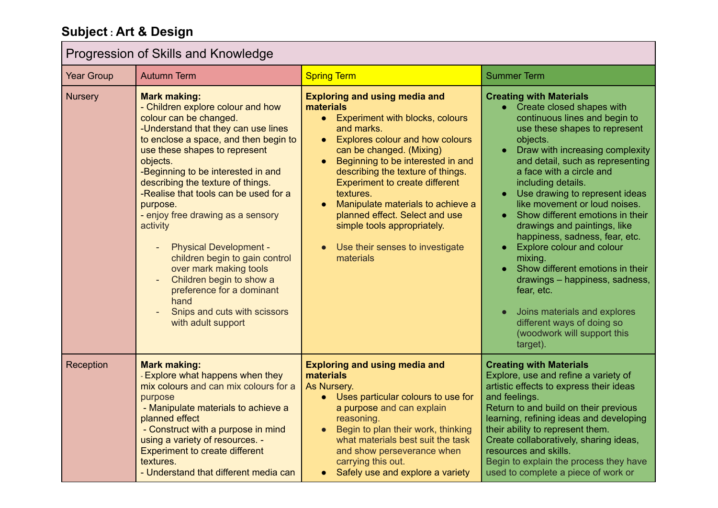## **Subject : Art & Design**

## **Progression of Skills and Knowledge**

| <u>LOYICSSION OF OMIIS AND INTOWICAGO</u> |                                                                                                                                                                                                                                                                                                                                                                                                                                                                                                                                                                                                                      |                                                                                                                                                                                                                                                                                                                                                                                                                                                                                     |                                                                                                                                                                                                                                                                                                                                                                                                                                                                                                                                                                                                                                                                                    |
|-------------------------------------------|----------------------------------------------------------------------------------------------------------------------------------------------------------------------------------------------------------------------------------------------------------------------------------------------------------------------------------------------------------------------------------------------------------------------------------------------------------------------------------------------------------------------------------------------------------------------------------------------------------------------|-------------------------------------------------------------------------------------------------------------------------------------------------------------------------------------------------------------------------------------------------------------------------------------------------------------------------------------------------------------------------------------------------------------------------------------------------------------------------------------|------------------------------------------------------------------------------------------------------------------------------------------------------------------------------------------------------------------------------------------------------------------------------------------------------------------------------------------------------------------------------------------------------------------------------------------------------------------------------------------------------------------------------------------------------------------------------------------------------------------------------------------------------------------------------------|
| <b>Year Group</b>                         | <b>Autumn Term</b>                                                                                                                                                                                                                                                                                                                                                                                                                                                                                                                                                                                                   | <b>Spring Term</b>                                                                                                                                                                                                                                                                                                                                                                                                                                                                  | <b>Summer Term</b>                                                                                                                                                                                                                                                                                                                                                                                                                                                                                                                                                                                                                                                                 |
| <b>Nursery</b>                            | <b>Mark making:</b><br>- Children explore colour and how<br>colour can be changed.<br>-Understand that they can use lines<br>to enclose a space, and then begin to<br>use these shapes to represent<br>objects.<br>-Beginning to be interested in and<br>describing the texture of things.<br>-Realise that tools can be used for a<br>purpose.<br>- enjoy free drawing as a sensory<br>activity<br><b>Physical Development -</b><br>children begin to gain control<br>over mark making tools<br>Children begin to show a<br>preference for a dominant<br>hand<br>Snips and cuts with scissors<br>with adult support | <b>Exploring and using media and</b><br>materials<br>• Experiment with blocks, colours<br>and marks.<br>Explores colour and how colours<br>$\bullet$<br>can be changed. (Mixing)<br>Beginning to be interested in and<br>$\bullet$<br>describing the texture of things.<br><b>Experiment to create different</b><br>textures.<br>Manipulate materials to achieve a<br>planned effect. Select and use<br>simple tools appropriately.<br>Use their senses to investigate<br>materials | <b>Creating with Materials</b><br>• Create closed shapes with<br>continuous lines and begin to<br>use these shapes to represent<br>objects.<br>Draw with increasing complexity<br>and detail, such as representing<br>a face with a circle and<br>including details.<br>Use drawing to represent ideas<br>like movement or loud noises.<br>Show different emotions in their<br>drawings and paintings, like<br>happiness, sadness, fear, etc.<br>Explore colour and colour<br>mixing.<br>Show different emotions in their<br>drawings - happiness, sadness,<br>fear, etc.<br>Joins materials and explores<br>different ways of doing so<br>(woodwork will support this<br>target). |
| Reception                                 | <b>Mark making:</b><br>- Explore what happens when they<br>mix colours and can mix colours for a<br>purpose<br>- Manipulate materials to achieve a<br>planned effect<br>- Construct with a purpose in mind<br>using a variety of resources. -<br><b>Experiment to create different</b><br>textures.<br>- Understand that different media can                                                                                                                                                                                                                                                                         | <b>Exploring and using media and</b><br>materials<br>As Nursery.<br>• Uses particular colours to use for<br>a purpose and can explain<br>reasoning.<br>Begin to plan their work, thinking<br>what materials best suit the task<br>and show perseverance when<br>carrying this out.<br>Safely use and explore a variety<br>$\bullet$                                                                                                                                                 | <b>Creating with Materials</b><br>Explore, use and refine a variety of<br>artistic effects to express their ideas<br>and feelings.<br>Return to and build on their previous<br>learning, refining ideas and developing<br>their ability to represent them.<br>Create collaboratively, sharing ideas,<br>resources and skills.<br>Begin to explain the process they have<br>used to complete a piece of work or                                                                                                                                                                                                                                                                     |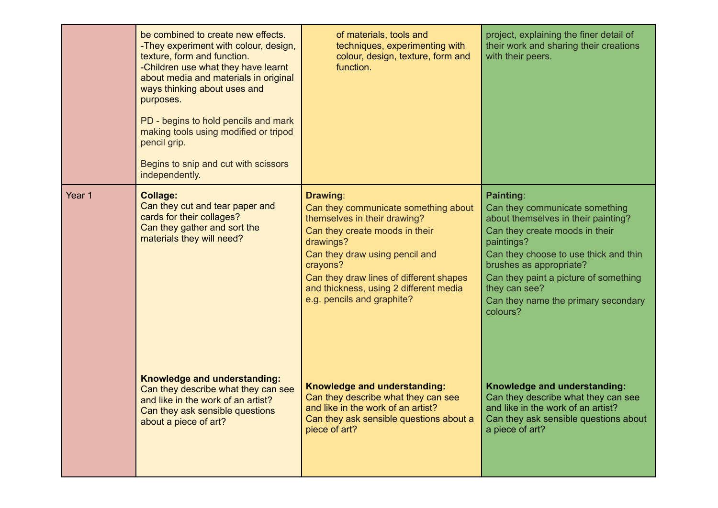|        | be combined to create new effects.<br>-They experiment with colour, design,<br>texture, form and function.<br>-Children use what they have learnt<br>about media and materials in original<br>ways thinking about uses and<br>purposes.<br>PD - begins to hold pencils and mark<br>making tools using modified or tripod<br>pencil grip.<br>Begins to snip and cut with scissors<br>independently. | of materials, tools and<br>techniques, experimenting with<br>colour, design, texture, form and<br>function.                                                                                                                                                                                      | project, explaining the finer detail of<br>their work and sharing their creations<br>with their peers.                                                                                                                                                                                                                     |
|--------|----------------------------------------------------------------------------------------------------------------------------------------------------------------------------------------------------------------------------------------------------------------------------------------------------------------------------------------------------------------------------------------------------|--------------------------------------------------------------------------------------------------------------------------------------------------------------------------------------------------------------------------------------------------------------------------------------------------|----------------------------------------------------------------------------------------------------------------------------------------------------------------------------------------------------------------------------------------------------------------------------------------------------------------------------|
| Year 1 | <b>Collage:</b><br>Can they cut and tear paper and<br>cards for their collages?<br>Can they gather and sort the<br>materials they will need?                                                                                                                                                                                                                                                       | Drawing:<br>Can they communicate something about<br>themselves in their drawing?<br>Can they create moods in their<br>drawings?<br>Can they draw using pencil and<br>crayons?<br>Can they draw lines of different shapes<br>and thickness, using 2 different media<br>e.g. pencils and graphite? | <b>Painting:</b><br>Can they communicate something<br>about themselves in their painting?<br>Can they create moods in their<br>paintings?<br>Can they choose to use thick and thin<br>brushes as appropriate?<br>Can they paint a picture of something<br>they can see?<br>Can they name the primary secondary<br>colours? |
|        | Knowledge and understanding:<br>Can they describe what they can see<br>and like in the work of an artist?<br>Can they ask sensible questions<br>about a piece of art?                                                                                                                                                                                                                              | Knowledge and understanding:<br>Can they describe what they can see<br>and like in the work of an artist?<br>Can they ask sensible questions about a<br>piece of art?                                                                                                                            | Knowledge and understanding:<br>Can they describe what they can see<br>and like in the work of an artist?<br>Can they ask sensible questions about<br>a piece of art?                                                                                                                                                      |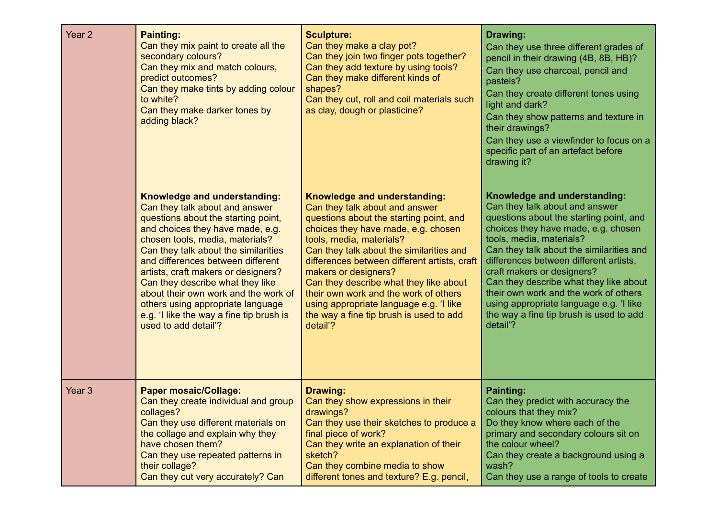| Year <sub>2</sub> | <b>Painting:</b><br>Can they mix paint to create all the<br>secondary colours?<br>Can they mix and match colours,<br>predict outcomes?<br>Can they make tints by adding colour<br>to white?<br>Can they make darker tones by<br>adding black? | <b>Sculpture:</b><br>Can they make a clay pot?<br>Can they join two finger pots together?<br>Can they add texture by using tools?<br>Can they make different kinds of<br>shapes?<br>Can they cut, roll and coil materials such<br>as clay, dough or plasticine? | Drawing:<br>Can they use three different grades of<br>pencil in their drawing (4B, 8B, HB)?<br>Can they use charcoal, pencil and<br>pastels?<br>Can they create different tones using<br>light and dark?<br>Can they show patterns and texture in<br>their drawings?<br>Can they use a viewfinder to focus on a<br>specific part of an artefact before<br>drawing it? |
|-------------------|-----------------------------------------------------------------------------------------------------------------------------------------------------------------------------------------------------------------------------------------------|-----------------------------------------------------------------------------------------------------------------------------------------------------------------------------------------------------------------------------------------------------------------|-----------------------------------------------------------------------------------------------------------------------------------------------------------------------------------------------------------------------------------------------------------------------------------------------------------------------------------------------------------------------|
|                   | Knowledge and understanding:                                                                                                                                                                                                                  | Knowledge and understanding:                                                                                                                                                                                                                                    | Knowledge and understanding:                                                                                                                                                                                                                                                                                                                                          |
|                   | Can they talk about and answer                                                                                                                                                                                                                | Can they talk about and answer                                                                                                                                                                                                                                  | Can they talk about and answer                                                                                                                                                                                                                                                                                                                                        |
|                   | questions about the starting point,                                                                                                                                                                                                           | questions about the starting point, and                                                                                                                                                                                                                         | questions about the starting point, and                                                                                                                                                                                                                                                                                                                               |
|                   | and choices they have made, e.g.                                                                                                                                                                                                              | choices they have made, e.g. chosen                                                                                                                                                                                                                             | choices they have made, e.g. chosen                                                                                                                                                                                                                                                                                                                                   |
|                   | chosen tools, media, materials?                                                                                                                                                                                                               | tools, media, materials?                                                                                                                                                                                                                                        | tools, media, materials?                                                                                                                                                                                                                                                                                                                                              |
|                   | Can they talk about the similarities                                                                                                                                                                                                          | Can they talk about the similarities and                                                                                                                                                                                                                        | Can they talk about the similarities and                                                                                                                                                                                                                                                                                                                              |
|                   | and differences between different                                                                                                                                                                                                             | differences between different artists, craft                                                                                                                                                                                                                    | differences between different artists,                                                                                                                                                                                                                                                                                                                                |
|                   | artists, craft makers or designers?                                                                                                                                                                                                           | makers or designers?                                                                                                                                                                                                                                            | craft makers or designers?                                                                                                                                                                                                                                                                                                                                            |
|                   | Can they describe what they like                                                                                                                                                                                                              | Can they describe what they like about                                                                                                                                                                                                                          | Can they describe what they like about                                                                                                                                                                                                                                                                                                                                |
|                   | about their own work and the work of                                                                                                                                                                                                          | their own work and the work of others                                                                                                                                                                                                                           | their own work and the work of others                                                                                                                                                                                                                                                                                                                                 |
|                   | others using appropriate language                                                                                                                                                                                                             | using appropriate language e.g. 'I like                                                                                                                                                                                                                         | using appropriate language e.g. 'I like                                                                                                                                                                                                                                                                                                                               |
|                   | e.g. 'I like the way a fine tip brush is                                                                                                                                                                                                      | the way a fine tip brush is used to add                                                                                                                                                                                                                         | the way a fine tip brush is used to add                                                                                                                                                                                                                                                                                                                               |
|                   | used to add detail'?                                                                                                                                                                                                                          | detail'?                                                                                                                                                                                                                                                        | detail'?                                                                                                                                                                                                                                                                                                                                                              |
| Year <sub>3</sub> | <b>Paper mosaic/Collage:</b>                                                                                                                                                                                                                  | Drawing:                                                                                                                                                                                                                                                        | <b>Painting:</b>                                                                                                                                                                                                                                                                                                                                                      |
|                   | Can they create individual and group                                                                                                                                                                                                          | Can they show expressions in their                                                                                                                                                                                                                              | Can they predict with accuracy the                                                                                                                                                                                                                                                                                                                                    |
|                   | collages?                                                                                                                                                                                                                                     | drawings?                                                                                                                                                                                                                                                       | colours that they mix?                                                                                                                                                                                                                                                                                                                                                |
|                   | Can they use different materials on                                                                                                                                                                                                           | Can they use their sketches to produce a                                                                                                                                                                                                                        | Do they know where each of the                                                                                                                                                                                                                                                                                                                                        |
|                   | the collage and explain why they                                                                                                                                                                                                              | final piece of work?                                                                                                                                                                                                                                            | primary and secondary colours sit on                                                                                                                                                                                                                                                                                                                                  |
|                   | have chosen them?                                                                                                                                                                                                                             | Can they write an explanation of their                                                                                                                                                                                                                          | the colour wheel?                                                                                                                                                                                                                                                                                                                                                     |
|                   | Can they use repeated patterns in                                                                                                                                                                                                             | sketch?                                                                                                                                                                                                                                                         | Can they create a background using a                                                                                                                                                                                                                                                                                                                                  |
|                   | their collage?                                                                                                                                                                                                                                | Can they combine media to show                                                                                                                                                                                                                                  | wash?                                                                                                                                                                                                                                                                                                                                                                 |
|                   | Can they cut very accurately? Can                                                                                                                                                                                                             | different tones and texture? E.g. pencil,                                                                                                                                                                                                                       | Can they use a range of tools to create                                                                                                                                                                                                                                                                                                                               |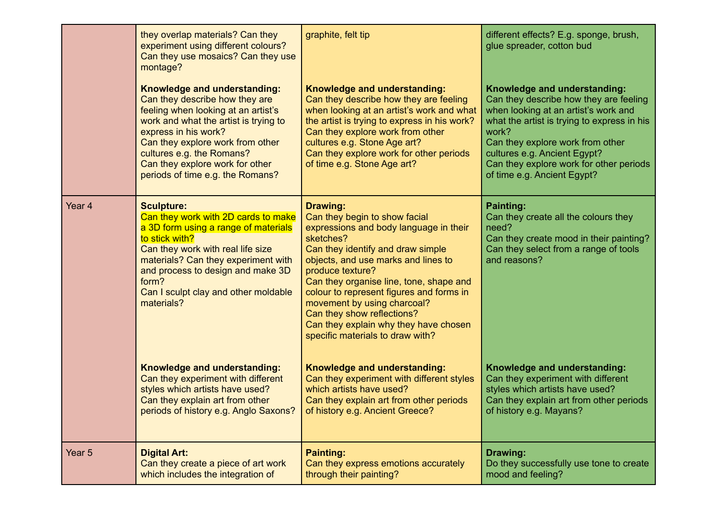|        | they overlap materials? Can they<br>experiment using different colours?<br>Can they use mosaics? Can they use<br>montage?                                                                                                                                                                                      | graphite, felt tip                                                                                                                                                                                                                                                                                                                                                                                                                       | different effects? E.g. sponge, brush,<br>glue spreader, cotton bud                                                                                                                                                                                                                                                  |
|--------|----------------------------------------------------------------------------------------------------------------------------------------------------------------------------------------------------------------------------------------------------------------------------------------------------------------|------------------------------------------------------------------------------------------------------------------------------------------------------------------------------------------------------------------------------------------------------------------------------------------------------------------------------------------------------------------------------------------------------------------------------------------|----------------------------------------------------------------------------------------------------------------------------------------------------------------------------------------------------------------------------------------------------------------------------------------------------------------------|
|        | Knowledge and understanding:<br>Can they describe how they are<br>feeling when looking at an artist's<br>work and what the artist is trying to<br>express in his work?<br>Can they explore work from other<br>cultures e.g. the Romans?<br>Can they explore work for other<br>periods of time e.g. the Romans? | Knowledge and understanding:<br>Can they describe how they are feeling<br>when looking at an artist's work and what<br>the artist is trying to express in his work?<br>Can they explore work from other<br>cultures e.g. Stone Age art?<br>Can they explore work for other periods<br>of time e.g. Stone Age art?                                                                                                                        | Knowledge and understanding:<br>Can they describe how they are feeling<br>when looking at an artist's work and<br>what the artist is trying to express in his<br>work?<br>Can they explore work from other<br>cultures e.g. Ancient Egypt?<br>Can they explore work for other periods<br>of time e.g. Ancient Egypt? |
| Year 4 | <b>Sculpture:</b><br>Can they work with 2D cards to make<br>a 3D form using a range of materials<br>to stick with?<br>Can they work with real life size<br>materials? Can they experiment with<br>and process to design and make 3D<br>form?<br>Can I sculpt clay and other moldable<br>materials?             | <b>Drawing:</b><br>Can they begin to show facial<br>expressions and body language in their<br>sketches?<br>Can they identify and draw simple<br>objects, and use marks and lines to<br>produce texture?<br>Can they organise line, tone, shape and<br>colour to represent figures and forms in<br>movement by using charcoal?<br>Can they show reflections?<br>Can they explain why they have chosen<br>specific materials to draw with? | <b>Painting:</b><br>Can they create all the colours they<br>need?<br>Can they create mood in their painting?<br>Can they select from a range of tools<br>and reasons?                                                                                                                                                |
|        | Knowledge and understanding:<br>Can they experiment with different<br>styles which artists have used?<br>Can they explain art from other<br>periods of history e.g. Anglo Saxons?                                                                                                                              | Knowledge and understanding:<br>Can they experiment with different styles<br>which artists have used?<br>Can they explain art from other periods<br>of history e.g. Ancient Greece?                                                                                                                                                                                                                                                      | Knowledge and understanding:<br>Can they experiment with different<br>styles which artists have used?<br>Can they explain art from other periods<br>of history e.g. Mayans?                                                                                                                                          |
| Year 5 | <b>Digital Art:</b><br>Can they create a piece of art work<br>which includes the integration of                                                                                                                                                                                                                | <b>Painting:</b><br>Can they express emotions accurately<br>through their painting?                                                                                                                                                                                                                                                                                                                                                      | Drawing:<br>Do they successfully use tone to create<br>mood and feeling?                                                                                                                                                                                                                                             |